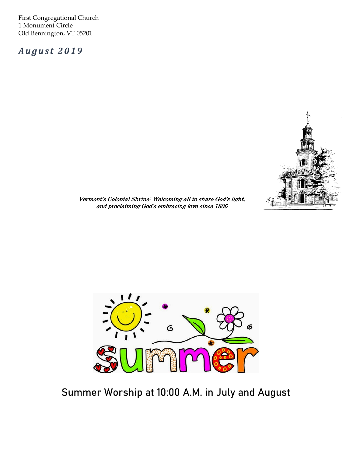First Congregational Church 1 Monument Circle Old Bennington, VT 05201

August 2019



Vermont's Colonial Shrine: Welcoming all to share God's light, and proclaiming God's embracing love since 1806



Summer Worship at 10:00 A.M. in July and August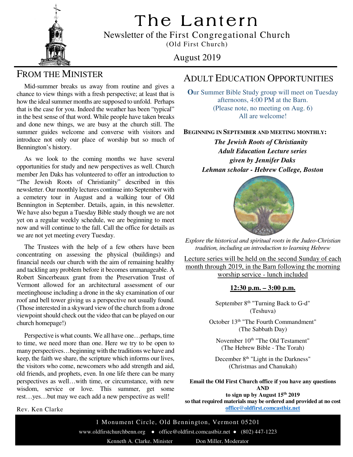The Lantern



Newsletter of the First Congregational Church (Old First Church)

## August 2019

# FROM THE MINISTER

 Mid-summer breaks us away from routine and gives a chance to view things with a fresh perspective; at least that is how the ideal summer months are supposed to unfold. Perhaps that is the case for you. Indeed the weather has been "typical" in the best sense of that word. While people have taken breaks and done new things, we are busy at the church still. The summer guides welcome and converse with visitors and introduce not only our place of worship but so much of Bennington's history.

 As we look to the coming months we have several opportunities for study and new perspectives as well. Church member Jen Daks has volunteered to offer an introduction to "The Jewish Roots of Christianity" described in this newsletter. Our monthly lectures continue into September with a cemetery tour in August and a walking tour of Old Bennington in September. Details, again, in this newsletter. We have also begun a Tuesday Bible study though we are not yet on a regular weekly schedule, we are beginning to meet now and will continue to the fall. Call the office for details as we are not yet meeting every Tuesday. Ĩ

 The Trustees with the help of a few others have been concentrating on assessing the physical (buildings) and financial needs our church with the aim of remaining healthy and tackling any problem before it becomes unmanageable. A Robert Sincerbeaux grant from the Preservation Trust of Vermont allowed for an architectural assessment of our meetinghouse including a drone in the sky examination of our roof and bell tower giving us a perspective not usually found. (Those interested in a skyward view of the church from a drone viewpoint should check out the video that can be played on our church homepage!)

 Perspective is what counts. We all have one…perhaps, time to time, we need more than one. Here we try to be open to many perspectives…beginning with the traditions we have and keep, the faith we share, the scripture which informs our lives, the visitors who come, newcomers who add strength and aid, old friends, and prophets, even. In one life there can be many perspectives as well…with time, or circumstance, with new wisdom, service or love. This summer, get some rest…yes…but may we each add a new perspective as well!

Rev. Ken Clarke

### ADULT EDUCATION OPPORTUNITIES

**O**ur Summer Bible Study group will meet on Tuesday afternoons, 4:00 PM at the Barn. (Please note, no meeting on Aug. 6) All are welcome!

**BEGINNING IN SEPTEMBER AND MEETING MONTHLY:**

*The Jewish Roots of Christianity Adult Education Lecture series given by Jennifer Daks Lehman scholar - Hebrew College, Boston* 



*Explore the historical and spiritual roots in the Judeo-Christian tradition, including an introduction to learning Hebrew* 

Lecture series will be held on the second Sunday of each month through 2019, in the Barn following the morning worship service - lunch included

### **12:30 p.m. – 3:00 p.m.**

September 8<sup>th</sup> "Turning Back to G-d" (Teshuva)

October 13<sup>th</sup> "The Fourth Commandment" (The Sabbath Day)

November 10<sup>th</sup> "The Old Testament" (The Hebrew Bible - The Torah)

December 8<sup>th</sup> "Light in the Darkness" (Christmas and Chanukah)

**Email the Old First Church office if you have any questions AND**

**to sign up by August 15th 2019 so that required materials may be ordered and provided at no cost office@oldfirst.comcastbiz.net**

1 Monument Circle, Old Bennington, Vermont 05201 www.oldfirstchurchbenn.org ● office@oldfirst.comcastbiz.net ● (802) 447-1223 Kenneth A. Clarke, Minister Don Miller, Moderator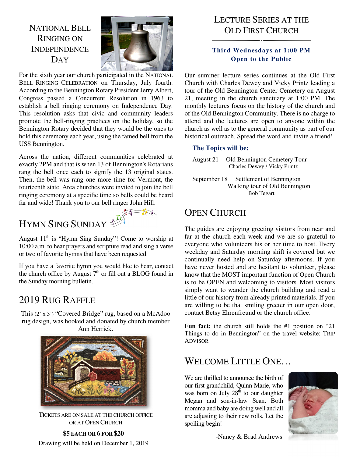NATIONAL BELL RINGING ON **INDEPENDENCE** DAY



For the sixth year our church participated in the NATIONAL BELL RINGING CELEBRATION on Thursday, July fourth. According to the Bennington Rotary President Jerry Albert, Congress passed a Concurrent Resolution in 1963 to establish a bell ringing ceremony on Independence Day. This resolution asks that civic and community leaders promote the bell-ringing practices on the holiday, so the Bennington Rotary decided that they would be the ones to hold this ceremony each year, using the famed bell from the USS Bennington.

Across the nation, different communities celebrated at exactly 2PM and that is when 13 of Bennington's Rotarians rang the bell once each to signify the 13 original states. Then, the bell was rang one more time for Vermont, the fourteenth state. Area churches were invited to join the bell ringing ceremony at a specific time so bells could be heard far and wide! Thank you to our bell ringer John Hill.

# HYMN SING SUNDAY



August  $11<sup>th</sup>$  is "Hymn Sing Sunday"! Come to worship at 10:00 a.m. to hear prayers and scripture read and sing a verse or two of favorite hymns that have been requested.

 If you have a favorite hymn you would like to hear, contact the Sunday morning bulletin. the church office by August  $7<sup>th</sup>$  or fill out a BLOG found in

# 2019 RUG RAFFLE

This (2' x 3') "Covered Bridge" rug, based on a McAdoo rug design, was hooked and donated by church member Ann Herrick.



TICKETS ARE ON SALE AT THE CHURCH OFFICE OR AT OPEN CHURCH

**\$5 EACH OR 6 FOR \$20**  Drawing will be held on December 1, 2019

# LECTURE SERIES AT THE OLD FIRST CHURCH

### **Third Wednesdays at 1:00 PM Open to the Public**

Our summer lecture series continues at the Old First Church with Charles Dewey and Vicky Printz leading a tour of the Old Bennington Center Cemetery on August 21, meeting in the church sanctuary at 1:00 PM. The monthly lectures focus on the history of the church and of the Old Bennington Community. There is no charge to attend and the lectures are open to anyone within the church as well as to the general community as part of our historical outreach. Spread the word and invite a friend!

### **The Topics will be:**

August 21 Old Bennington Cemetery Tour Charles Dewey / Vicky Printz

September 18 Settlement of Bennington Walking tour of Old Bennington Bob Tegart

# OPEN CHURCH

The guides are enjoying greeting visitors from near and far at the church each week and we are so grateful to everyone who volunteers his or her time to host. Every weekday and Saturday morning shift is covered but we continually need help on Saturday afternoons. If you have never hosted and are hesitant to volunteer, please know that the MOST important function of Open Church is to be OPEN and welcoming to visitors. Most visitors simply want to wander the church building and read a little of our history from already printed materials. If you are willing to be that smiling greeter in our open door, contact Betsy Ehrenfreund or the church office.

**Fun fact:** the church still holds the #1 position on "21 Things to do in Bennington" on the travel website: TRIP ADVISOR

## WELCOME LITTLE ONE...

We are thrilled to announce the birth of our first grandchild, Quinn Marie, who was born on July  $28<sup>th</sup>$  to our daughter Megan and son-in-law Sean. Both momma and baby are doing well and all are adjusting to their new rolls. Let the spoiling begin!



-Nancy & Brad Andrews